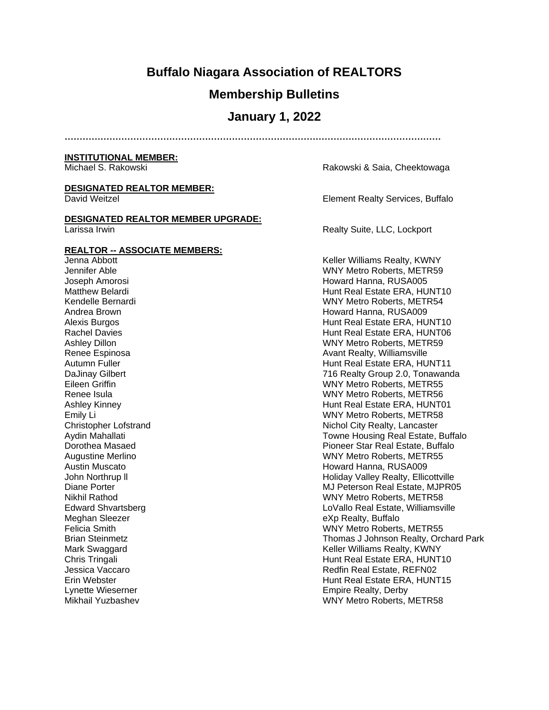# **Buffalo Niagara Association of REALTORS**

### **Membership Bulletins**

### **January 1, 2022**

**………………………………………………………………………………………………………………**

#### **INSTITUTIONAL MEMBER:**

#### **DESIGNATED REALTOR MEMBER:**

### **DESIGNATED REALTOR MEMBER UPGRADE:**

#### **REALTOR -- ASSOCIATE MEMBERS:**

Jenna Abbott Keller Williams Realty, KWNY Meghan Sleezer eXp Realty, Buffalo Lynette Wieserner Empire Realty, Derby

Michael S. Rakowski **Michael S. Rakowski & Saia, Cheektowaga** 

David Weitzel Element Realty Services, Buffalo

Larissa Irwin **Example 2018** 2018 12:30 Realty Suite, LLC, Lockport

Jennifer Able WNY Metro Roberts, METR59 Joseph Amorosi **Howard Hanna, RUSA005** Howard Hanna, RUSA005 Matthew Belardi **Hunt Real Estate ERA, HUNT10** Kendelle Bernardi WNY Metro Roberts, METR54 Andrea Brown **Howard Hanna**, RUSA009 Alexis Burgos **Hunt Real Estate ERA, HUNT10** Rachel Davies **Hunt Real Estate ERA, HUNT06** Ashley Dillon WNY Metro Roberts, METR59 Renee Espinosa **Avant Realty, Williamsville** Autumn Fuller **Hunt Real Estate ERA, HUNT11** DaJinay Gilbert 716 Realty Group 2.0, Tonawanda WNY Metro Roberts, METR55 Renee Isula WNY Metro Roberts, METR56 Ashley Kinney **Hunt Real Estate ERA, HUNT01** Emily Li WNY Metro Roberts, METR58 Christopher Lofstrand **Nichol City Realty, Lancaster** Nichol City Realty, Lancaster Aydin Mahallati **The Community Community Community** Towne Housing Real Estate, Buffalo Dorothea Masaed Pioneer Star Real Estate, Buffalo Augustine Merlino **Matter Strategier Merling Community** Merlino WNY Metro Roberts, METR55 Austin Muscato **Howard Hanna, RUSA009 Howard Hanna, RUSA009** John Northrup II **Holiday Valley Realty, Ellicottville** Diane Porter Mullet Communication Communication Communication Communication Communication Communication Communication Communication Communication Communication Communication Communication Communication Communication Commun Nikhil Rathod WNY Metro Roberts, METR58 Edward Shvartsberg **Lovallo Real Estate, Williamsville** Felicia Smith WNY Metro Roberts, METR55 Thomas J Johnson Realty, Orchard Park Mark Swaggard **Keller Williams Realty, KWNY** Chris Tringali **Hunt Real Estate ERA, HUNT10** Jessica Vaccaro Redfin Real Estate, REFN02 Erin Webster Hunt Real Estate ERA, HUNT15 Mikhail Yuzbashev WNY Metro Roberts, METR58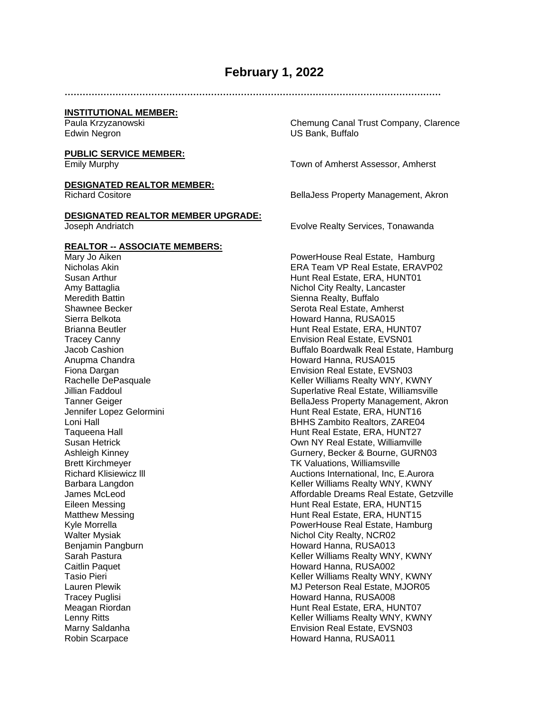## **February 1, 2022**

**………………………………………………………………………………………………………………**

#### **INSTITUTIONAL MEMBER:**

#### **PUBLIC SERVICE MEMBER:**

#### **DESIGNATED REALTOR MEMBER:**

#### **DESIGNATED REALTOR MEMBER UPGRADE:** Joseph Andriatch Evolve Realty Services, Tonawanda

# **REALTOR -- ASSOCIATE MEMBERS:**

Meredith Battin **State Accord Contract Contract Contract Contract Contract Contract Contract Contract Contract Contract Contract Contract Contract Contract Contract Contract Contract Contract Contract Contract Contract Con** Sierra Belkota **Howard Hanna, RUSA015** Anupma Chandra **Howard Hanna, RUSA015** Walter Mysiak Nichol City Realty, NCR02 Benjamin Pangburn **Howard Hanna, RUSA013** Caitlin Paquet Howard Hanna, RUSA002 Tracey Puglisi **Howard Hanna, RUSA008** Robin Scarpace **Howard Hanna, RUSA011** 

Paula Krzyzanowski Chemung Canal Trust Company, Clarence US Bank, Buffalo

Emily Murphy Town of Amherst Assessor, Amherst

Richard Cositore **BellaJess Property Management, Akron** 

PowerHouse Real Estate, Hamburg Nicholas Akin ERA Team VP Real Estate, ERAVP02 Susan Arthur **Hunt Real Estate, ERA, HUNT01** Amy Battaglia Nichol City Realty, Lancaster Shawnee Becker Shawnee Becker Serota Real Estate, Amherst Brianna Beutler **Hunt Real Estate, ERA, HUNT07** Tracey Canny **Tracey Canny** Envision Real Estate, EVSN01<br>
Jacob Cashion **Envision Real Estate, EVSN01** Buffalo Boardwalk Real Estate, Hamburg Fiona Dargan **Envision Real Estate, EVSN03** Rachelle DePasquale **Keller Williams Realty WNY, KWNY** Jillian Faddoul Superlative Real Estate, Williamsville Tanner Geiger **BellaJess Property Management, Akron** Jennifer Lopez Gelormini **Hunt Real Estate, ERA, HUNT16** Loni Hall BHHS Zambito Realtors, ZARE04 Taqueena Hall **Hunt Real Estate, ERA, HUNT27** Susan Hetrick Own NY Real Estate, Williamville Ashleigh Kinney Gurnery, Becker & Bourne, GURN03 Brett Kirchmeyer TK Valuations, Williamsville Richard Klisiewicz lll Auctions International, Inc, E.Aurora Barbara Langdon **Keller Williams Realty WNY, KWNY** James McLeod Affordable Dreams Real Estate, Getzville Eileen Messing Hunt Real Estate, ERA, HUNT15 Matthew Messing **Hunt Real Estate, ERA, HUNT15** Kyle Morrella **PowerHouse Real Estate, Hamburg** PowerHouse Real Estate, Hamburg Sarah Pastura Keller Williams Realty WNY, KWNY Keller Williams Realty WNY, KWNY Lauren Plewik MJ Peterson Real Estate, MJOR05 Meagan Riordan **Hunt Real Estate, ERA, HUNT07** Lenny Ritts **Communist Communist Communist Communist Communist Communist Communist Communist Communist Communist**<br>Keller Williams Real Estate, EVSN03 Envision Real Estate, EVSN03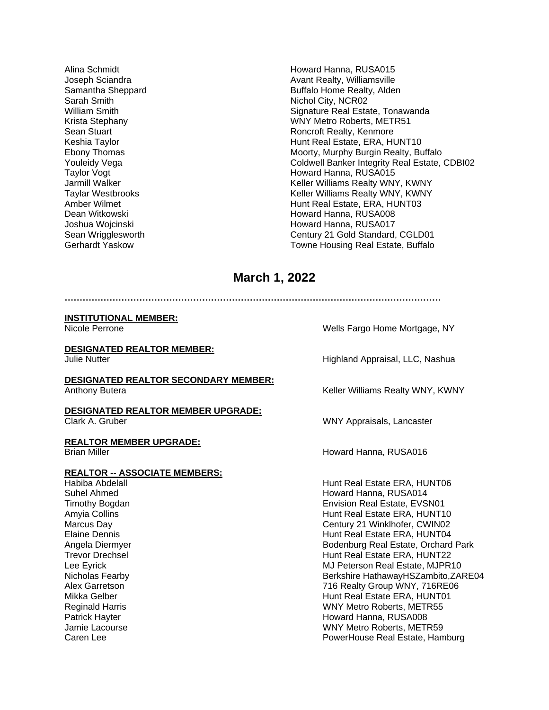Sarah Smith Nichol City, NCR02

Alina Schmidt **Howard Hanna, RUSA015** Joseph Sciandra **Avant Realty, Williamsville** Samantha Sheppard **Buffalo Home Realty, Alden** William Smith Supervisory Communication State State Real Estate, Tonawanda Krista Stephany WNY Metro Roberts, METR51 Sean Stuart **Ronald Roncroft Realty, Kenmore** Roncroft Realty, Kenmore Keshia Taylor Hunt Real Estate, ERA, HUNT10 Moorty, Murphy Burgin Realty, Buffalo Youleidy Vega **Coldwell Banker Integrity Real Estate, CDBI02** Taylor Vogt Howard Hanna, RUSA015 Jarmill Walker Keller Williams Realty WNY, KWNY Keller Williams Realty WNY, KWNY Amber Wilmet **Hunt Real Estate, ERA, HUNT03** Dean Witkowski **Howard Hanna, RUSA008** Joshua Wojcinski **Howard Hanna, RUSA017** Sean Wrigglesworth Century 21 Gold Standard, CGLD01 Gerhardt Yaskow **Towne Housing Real Estate, Buffalo** 

# **March 1, 2022**

**………………………………………………………………………………………………………………**

#### **INSTITUTIONAL MEMBER:**

#### **DESIGNATED REALTOR MEMBER:** Julie Nutter **Highland Appraisal, LLC, Nashua**

#### **DESIGNATED REALTOR SECONDARY MEMBER:** Anthony Butera **Keller Williams Realty WNY, KWNY**

**DESIGNATED REALTOR MEMBER UPGRADE:**

**REALTOR MEMBER UPGRADE:**

### **REALTOR -- ASSOCIATE MEMBERS:**

Nicole Perrone Wells Fargo Home Mortgage, NY

Clark A. Gruber WNY Appraisals, Lancaster

Brian Miller **Howard Hanna, RUSA016 Howard Hanna, RUSA016** 

Habiba Abdelall Hunt Real Estate ERA, HUNT06 Suhel Ahmed **Howard Hanna, RUSA014** Howard Hanna, RUSA014 Timothy Bogdan **Environment Communist Communist Communist Communist Communist Communist Communist Communist Communist Communist Communist Communist Communist Communist Communist Communist Communist Communist Communist Comm** Amyia Collins **Hunt Real Estate ERA, HUNT10** Marcus Day Century 21 Winklhofer, CWIN02 Elaine Dennis Hunt Real Estate ERA, HUNT04 Angela Diermyer Bodenburg Real Estate, Orchard Park Trevor Drechsel **Hunt Real Estate ERA, HUNT22** Lee Eyrick MJ Peterson Real Estate, MJPR10 Nicholas Fearby **Berkshire HathawayHSZambito,ZARE04** Alex Garretson **716 Realty Group WNY, 716RE06** Mikka Gelber **Hunt Real Estate ERA, HUNT01** Reginald Harris **National Accord Participate 1 and 20 and 20 and 20 and 20 and 20 and 20 and 20 and 20 and 20 and 20 and 20 and 20 and 20 and 20 and 20 and 20 and 20 and 20 and 20 and 20 and 20 and 20 and 20 and 20 and 20** Patrick Hayter **Howard Hanna, RUSA008 Patrick Hanna**, RUSA008 Jamie Lacourse WNY Metro Roberts, METR59 Caren Lee **PowerHouse Real Estate, Hamburg** PowerHouse Real Estate, Hamburg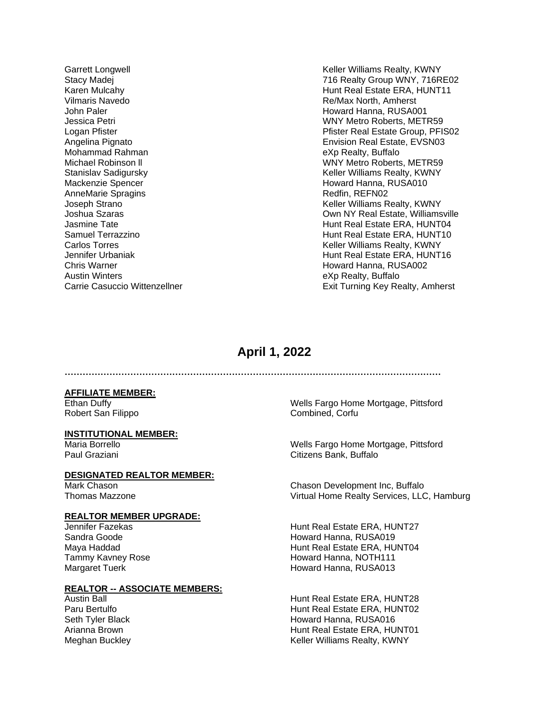Vilmaris Navedo Re/Max North, Amherst John Paler **Howard Hanna, RUSA001** Mohammad Rahman eXp Realty, Buffalo Mackenzie Spencer **Howard Hanna, RUSA010** Howard Hanna, RUSA010 AnneMarie Spragins **Redfin**, REFN02 Chris Warner North Chris Warner (1990)<br>
Austin Winters North Austin Austin Winters (1990)<br>
Austin Winters (1990) Austin Winters<br>Carrie Casuccio Wittenzellner and the Same South of The Exit Turning Key Re

Garrett Longwell **Keller Williams Realty, KWNY** Stacy Madej 716 Realty Group WNY, 716RE02 Karen Mulcahy **Hunt Real Estate ERA, HUNT11** Jessica Petri WNY Metro Roberts, METR59 Logan Pfister **Primary Primary Primary Primary Primary Primary Primary Primary Primary Primary Primary Primary Primary Primary Primary Primary Primary Primary Primary Primary Primary Primary Primary Primary Primary Primary** Angelina Pignato **Envision Real Estate, EVSN03** WNY Metro Roberts, METR59 Stanislav Sadigursky Keller Williams Realty, KWNY Joseph Strano Keller Williams Realty, KWNY Joshua Szaras Own NY Real Estate, Williamsville Jasmine Tate **Hunt Real Estate ERA, HUNT04** Samuel Terrazzino **National According to the Contract Contract Contract Contract Contract Contract Contract Contract Contract Contract Contract Contract Contract Contract Contract Contract Contract Contract Contract Contra** Carlos Torres **Keller Williams Realty, KWNY** Jennifer Urbaniak **Hunt Real Estate ERA, HUNT16** Exit Turning Key Realty, Amherst

## **April 1, 2022**

**………………………………………………………………………………………………………………**

**AFFILIATE MEMBER:**

# **INSTITUTIONAL MEMBER:**

#### **DESIGNATED REALTOR MEMBER:**

#### **REALTOR MEMBER UPGRADE:**

### **REALTOR -- ASSOCIATE MEMBERS:**

Ethan Duffy Wells Fargo Home Mortgage, Pittsford Robert San Filippo **Combined, Corfu** 

Wells Fargo Home Mortgage, Pittsford Paul Graziani Citizens Bank, Buffalo

Mark Chason Chason Development Inc, Buffalo Thomas Mazzone Virtual Home Realty Services, LLC, Hamburg

Jennifer Fazekas Hunt Real Estate ERA, HUNT27 Sandra Goode **Howard Hanna, RUSA019** Maya Haddad **Hunt Real Estate ERA, HUNT04** Tammy Kavney Rose **Howard Hanna**, NOTH111 Margaret Tuerk **Howard Hanna, RUSA013** 

Austin Ball Hunt Real Estate ERA, HUNT28 Paru Bertulfo **Marson Component Component Component Component Component Component Component Component Component Component Component Component Component Component Component Component Component Component Component Component** Howard Hanna, RUSA016 Arianna Brown **Hunt Real Estate ERA, HUNT01** Meghan Buckley **Keller Williams Realty, KWNY**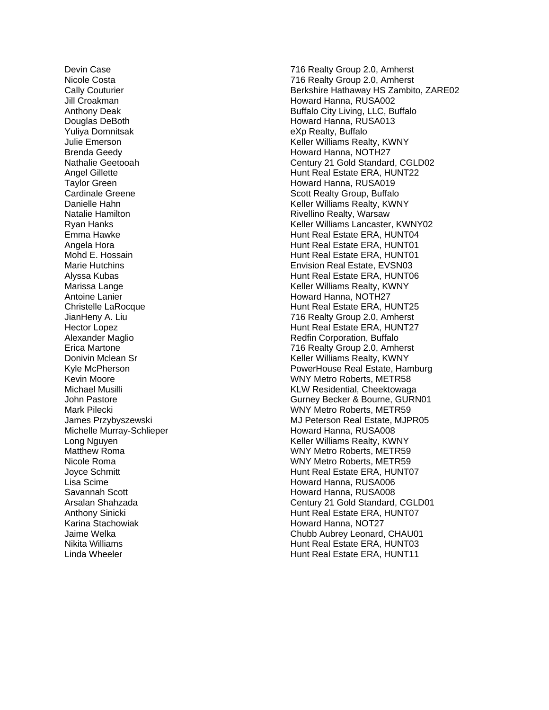Yuliya Domnitsak eXp Realty, Buffalo Angela Hora Michelle Murray-Schlieper Karina Stachowiak **Howard Hanna, NOT27**<br>Howard Hanna, NOT27 Howard Hanna, NOT27<br>Chubb Aubrey Leonard

Devin Case 716 Realty Group 2.0, Amherst Nicole Costa 716 Realty Group 2.0, Amherst Cally Couturier Berkshire Hathaway HS Zambito, ZARE02 Jill Croakman Howard Hanna, RUSA002 Anthony Deak **Buffalo City Living, LLC, Buffalo** Douglas DeBoth **Howard Hanna, RUSA013** Julie Emerson Keller Williams Realty, KWNY Brenda Geedy **Howard Hanna, NOTH27** Nathalie Geetooah Century 21 Gold Standard, CGLD02 Angel Gillette **Hunt Real Estate ERA, HUNT22** Taylor Green **Howard Hanna, RUSA019**<br>Cardinale Greene Howard Howard Hanna, RUSA019 Scott Realty Group, Buffalo Danielle Hahn Keller Williams Realty, KWNY Natalie Hamilton **Night Communist Communist Communist Communist Communist Communist Communist Communist Communist Communist Communist Communist Communist Communist Communist Communist Communist Communist Communist Communis** Ryan Hanks **Keller Williams Lancaster, KWNY02** Keller Williams Lancaster, KWNY02 Emma Hawke **Hunt Real Estate ERA, HUNT04** Hunt Real Estate ERA, HUNT01 Mohd E. Hossain **Hunt Real Estate ERA, HUNT01** Marie Hutchins Envision Real Estate, EVSN03 Hunt Real Estate ERA, HUNT06 Marissa Lange **Keller Williams Realty, KWNY** Antoine Lanier **Howard Hanna, NOTH27 Howard Hanna**, NOTH27 Christelle LaRocque **Hunt Real Estate ERA, HUNT25** JianHeny A. Liu 716 Realty Group 2.0, Amherst Hector Lopez **Hunt Real Estate ERA, HUNT27** Alexander Maglio **Redigional Control Alexander Maglio** Redfin Corporation, Buffalo Erica Martone 716 Realty Group 2.0, Amherst Donivin Mclean Sr New York Charles And Mclean Sr Keller Williams Realty, KWNY Kyle McPherson **PowerHouse Real Estate, Hamburg** PowerHouse Real Estate, Hamburg Kevin Moore WNY Metro Roberts, METR58 Michael Musilli KLW Residential, Cheektowaga John Pastore **Gurney Becker & Bourne, GURN01** Mark Pilecki WNY Metro Roberts, METR59 James Przybyszewski **MJ Peterson Real Estate, MJPR05** Howard Hanna, RUSA008 Long Nguyen **Keller Williams Realty, KWNY** Matthew Roma WNY Metro Roberts, METR59 Nicole Roma WNY Metro Roberts, METR59 Joyce Schmitt **Hunt Real Estate ERA, HUNT07** Lisa Scime **Howard Hanna, RUSA006 Howard Hanna, RUSA006** Savannah Scott **Howard Hanna, RUSA008** Arsalan Shahzada Century 21 Gold Standard, CGLD01 Anthony Sinicki **Hunt Real Estate ERA, HUNT07** Chubb Aubrey Leonard, CHAU01 Nikita Williams **Hunt Real Estate ERA, HUNT03** Linda Wheeler **Hunt Real Estate ERA, HUNT11**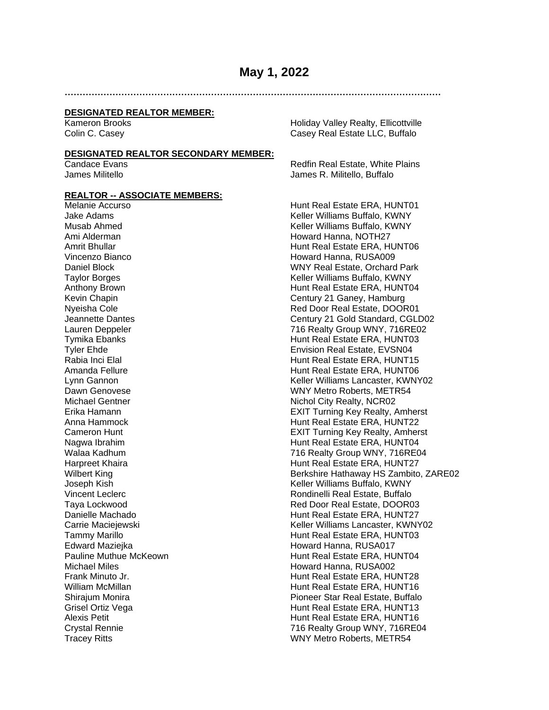### **May 1, 2022**

**………………………………………………………………………………………………………………**

#### **DESIGNATED REALTOR MEMBER:**

#### **DESIGNATED REALTOR SECONDARY MEMBER:**

#### **REALTOR -- ASSOCIATE MEMBERS:**

Kameron Brooks **Matter and Strutter Holiday Valley Realty, Ellicottville** Colin C. Casey Casey Casey Real Estate LLC, Buffalo

Candace Evans<br>
Lames Militello<br>
Lames Militello<br>
Lames R. Militello Buffalo James R. Militello, Buffalo

Melanie Accurso **Hunt Real Estate ERA, HUNT01** Jake Adams Keller Williams Buffalo, KWNY Musab Ahmed **Keller Williams Buffalo, KWNY** Ami Alderman **Howard Hanna, NOTH27 Howard Hanna, NOTH27** Amrit Bhullar **Hunt Real Estate ERA, HUNT06** Vincenzo Bianco **Howard Hanna**, RUSA009 Daniel Block WNY Real Estate, Orchard Park Taylor Borges Keller Williams Buffalo, KWNY Anthony Brown **Hunt Real Estate ERA, HUNT04** Kevin Chapin Chapin Century 21 Ganey, Hamburg Nyeisha Cole **Real Estate, DOOR01** Red Door Real Estate, DOOR01 Jeannette Dantes Century 21 Gold Standard, CGLD02 Lauren Deppeler 716 Realty Group WNY, 716RE02 Tymika Ebanks<br>Tyler Ehde Hunt Real Estate ERA, HUNT03<br>Tyler Ehde Hunt Real Estate EVSN04 Envision Real Estate, EVSN04 Rabia Inci Elal **Hunt Real Estate ERA, HUNT15** Amanda Fellure **Hunt Real Estate ERA, HUNT06** Lynn Gannon Keller Williams Lancaster, KWNY02 Dawn Genovese WNY Metro Roberts, METR54 Michael Gentner Nichol City Realty, NCR02 Erika Hamann EXIT Turning Key Realty, Amherst Anna Hammock **Hunt Real Estate ERA, HUNT22** Cameron Hunt EXIT Turning Key Realty, Amherst Nagwa Ibrahim **Hunt Real Estate ERA, HUNT04** Walaa Kadhum 716 Realty Group WNY, 716RE04 Harpreet Khaira **Hunt Real Estate ERA, HUNT27** Wilbert King **Berkshire Hathaway HS Zambito, ZARE02** Berkshire Hathaway HS Zambito, ZARE02 Joseph Kish **Keller Williams Buffalo, KWNY** Vincent Leclerc **Rondinelli** Real Estate, Buffalo Taya Lockwood Red Door Real Estate, DOOR03 Danielle Machado **Hunt Real Estate ERA, HUNT27** Carrie Maciejewski Keller Williams Lancaster, KWNY02 Tammy Marillo **Hunt Real Estate ERA, HUNT03** Edward Maziejka **Howard Hanna, RUSA017** Pauline Muthue McKeown **Hunt Real Estate ERA, HUNT04** Michael Miles **Howard Hanna, RUSA002**<br>Frank Minuto Jr. **Howard Hanna, RUSA002**<br>Hunt Real Estate ERA. HU Hunt Real Estate ERA, HUNT28 William McMillan **Hunt Real Estate ERA, HUNT16** Shirajum Monira **Pioneer Star Real Estate, Buffalo** Grisel Ortiz Vega **Hunt Real Estate ERA, HUNT13** Alexis Petit **Hunt Real Estate ERA, HUNT16** Crystal Rennie 716 Realty Group WNY, 716RE04 Tracey Ritts WNY Metro Roberts, METR54